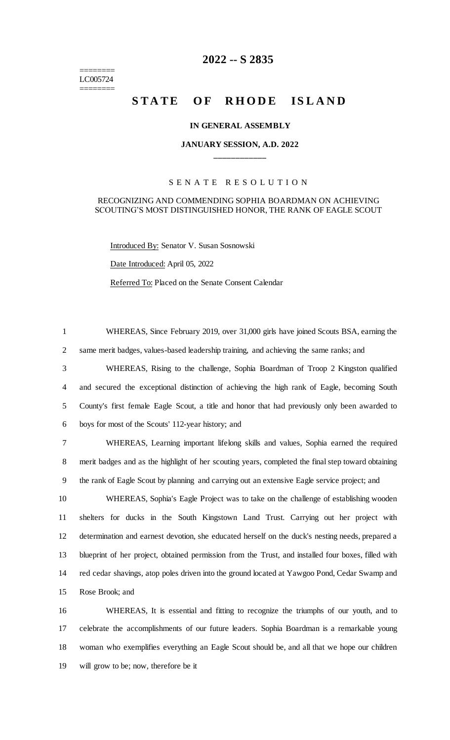======== LC005724 ========

# **-- S 2835**

# **STATE OF RHODE ISLAND**

#### **IN GENERAL ASSEMBLY**

### **JANUARY SESSION, A.D. 2022 \_\_\_\_\_\_\_\_\_\_\_\_**

#### S E N A T E R E S O L U T I O N

## RECOGNIZING AND COMMENDING SOPHIA BOARDMAN ON ACHIEVING SCOUTING'S MOST DISTINGUISHED HONOR, THE RANK OF EAGLE SCOUT

Introduced By: Senator V. Susan Sosnowski

Date Introduced: April 05, 2022

Referred To: Placed on the Senate Consent Calendar

 WHEREAS, Since February 2019, over 31,000 girls have joined Scouts BSA, earning the same merit badges, values-based leadership training, and achieving the same ranks; and

 WHEREAS, Rising to the challenge, Sophia Boardman of Troop 2 Kingston qualified and secured the exceptional distinction of achieving the high rank of Eagle, becoming South County's first female Eagle Scout, a title and honor that had previously only been awarded to boys for most of the Scouts' 112-year history; and

 WHEREAS, Learning important lifelong skills and values, Sophia earned the required merit badges and as the highlight of her scouting years, completed the final step toward obtaining the rank of Eagle Scout by planning and carrying out an extensive Eagle service project; and

 WHEREAS, Sophia's Eagle Project was to take on the challenge of establishing wooden shelters for ducks in the South Kingstown Land Trust. Carrying out her project with determination and earnest devotion, she educated herself on the duck's nesting needs, prepared a blueprint of her project, obtained permission from the Trust, and installed four boxes, filled with red cedar shavings, atop poles driven into the ground located at Yawgoo Pond, Cedar Swamp and Rose Brook; and

 WHEREAS, It is essential and fitting to recognize the triumphs of our youth, and to celebrate the accomplishments of our future leaders. Sophia Boardman is a remarkable young woman who exemplifies everything an Eagle Scout should be, and all that we hope our children will grow to be; now, therefore be it